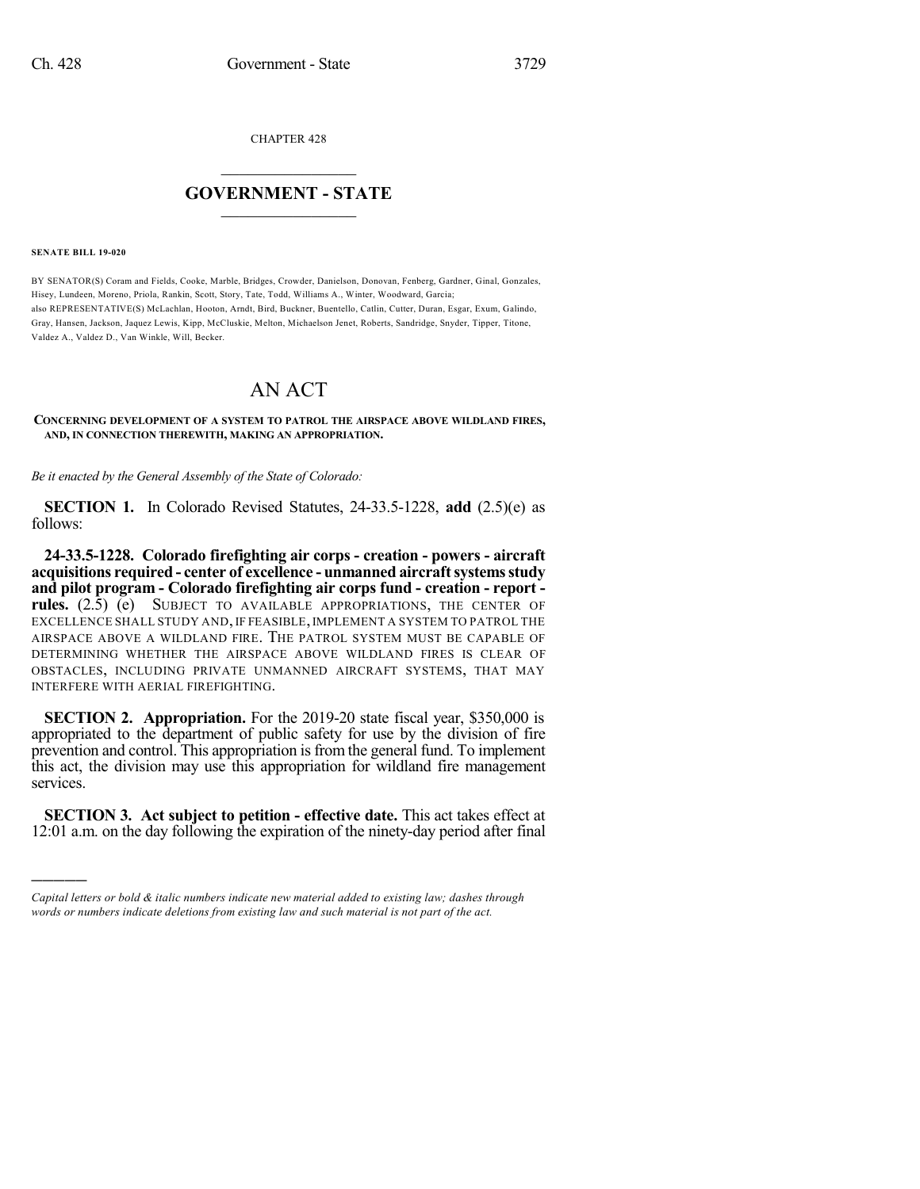CHAPTER 428

## $\overline{\phantom{a}}$  . The set of the set of the set of the set of the set of the set of the set of the set of the set of the set of the set of the set of the set of the set of the set of the set of the set of the set of the set o **GOVERNMENT - STATE**  $\_$

**SENATE BILL 19-020**

)))))

BY SENATOR(S) Coram and Fields, Cooke, Marble, Bridges, Crowder, Danielson, Donovan, Fenberg, Gardner, Ginal, Gonzales, Hisey, Lundeen, Moreno, Priola, Rankin, Scott, Story, Tate, Todd, Williams A., Winter, Woodward, Garcia; also REPRESENTATIVE(S) McLachlan, Hooton, Arndt, Bird, Buckner, Buentello, Catlin, Cutter, Duran, Esgar, Exum, Galindo, Gray, Hansen, Jackson, Jaquez Lewis, Kipp, McCluskie, Melton, Michaelson Jenet, Roberts, Sandridge, Snyder, Tipper, Titone, Valdez A., Valdez D., Van Winkle, Will, Becker.

## AN ACT

## **CONCERNING DEVELOPMENT OF A SYSTEM TO PATROL THE AIRSPACE ABOVE WILDLAND FIRES, AND, IN CONNECTION THEREWITH, MAKING AN APPROPRIATION.**

*Be it enacted by the General Assembly of the State of Colorado:*

**SECTION 1.** In Colorado Revised Statutes, 24-33.5-1228, **add** (2.5)(e) as follows:

**24-33.5-1228. Colorado firefighting air corps - creation - powers - aircraft acquisitions required - center of excellence - unmanned aircraftsystemsstudy and pilot program - Colorado firefighting air corps fund - creation - report rules.** (2.5) (e) SUBJECT TO AVAILABLE APPROPRIATIONS, THE CENTER OF EXCELLENCE SHALL STUDY AND, IF FEASIBLE, IMPLEMENT A SYSTEM TO PATROL THE AIRSPACE ABOVE A WILDLAND FIRE. THE PATROL SYSTEM MUST BE CAPABLE OF DETERMINING WHETHER THE AIRSPACE ABOVE WILDLAND FIRES IS CLEAR OF OBSTACLES, INCLUDING PRIVATE UNMANNED AIRCRAFT SYSTEMS, THAT MAY INTERFERE WITH AERIAL FIREFIGHTING.

**SECTION 2. Appropriation.** For the 2019-20 state fiscal year, \$350,000 is appropriated to the department of public safety for use by the division of fire prevention and control. This appropriation is from the general fund. To implement this act, the division may use this appropriation for wildland fire management services.

**SECTION 3. Act subject to petition - effective date.** This act takes effect at 12:01 a.m. on the day following the expiration of the ninety-day period after final

*Capital letters or bold & italic numbers indicate new material added to existing law; dashes through words or numbers indicate deletions from existing law and such material is not part of the act.*